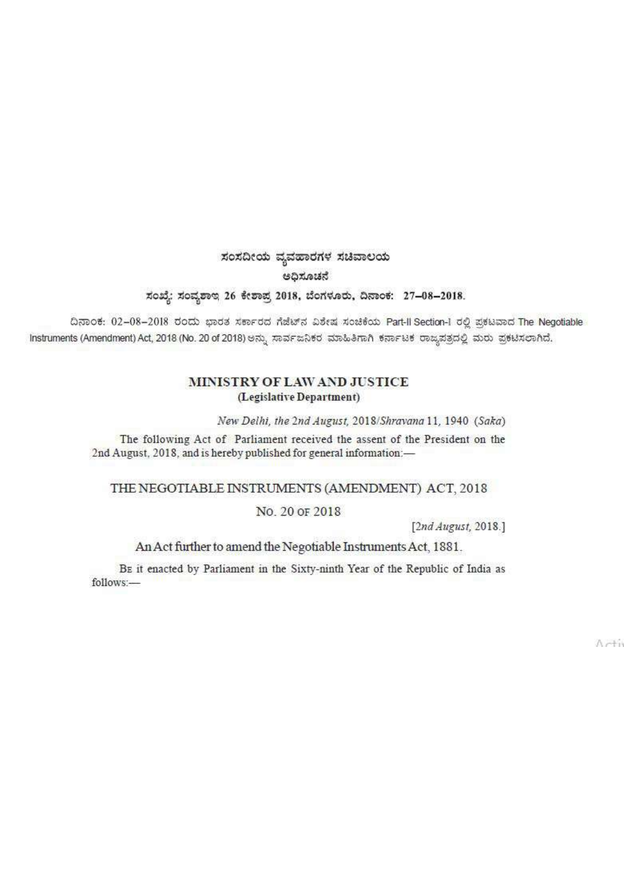## ಸಂಸದೀಯ ವ್ಯವಹಾರಗಳ ಸಚಿವಾಲಯ ಅಧಿಸೂಚನೆ ಸಂಖ್ಯೆ: ಸಂವ್ಯಶಾಲ 26 ಕೇಶಾಪ್ರ 2018, ಬೆಂಗಳೂರು, ದಿನಾಂಕ: 27-08-2018.

ದಿನಾಂಕ: 02-08-2018 ರಂದು ಭಾರತ ಸರ್ಕಾರದ ಗೆಜೆಟ್ ನವಿಶೇಷ ಸಂಚಿಕೆಯ Part-Il Section-1 ರಲ್ಲಿ ಪ್ರಕಟವಾದ The Negotiable Instruments (Amendment) Act, 2018 (No. 20 of 2018) ಅನ್ನು ಸಾರ್ವಜನಿಕರ ಮಾಹಿತಿಗಾಗಿ ಕರ್ನಾಟಕ ರಾಜ್ಯಪತ್ರದಲ್ಲಿ ಮರು ಪ್ರಕಟಿಸಲಾಗಿದೆ.

## MINISTRY OF LAW AND JUSTICE (Legislative Department)

New Delhi, the 2nd August, 2018/Shravana 11, 1940 (Saka)

The following Act of Parliament received the assent of the President on the 2nd August, 2018, and is hereby published for general information:-

## THE NEGOTIABLE INSTRUMENTS (AMENDMENT) ACT, 2018

## No. 20 OF 2018

[2nd August, 2018.]

An Act further to amend the Negotiable Instruments Act, 1881.

BE it enacted by Parliament in the Sixty-ninth Year of the Republic of India as follows:-

Arti